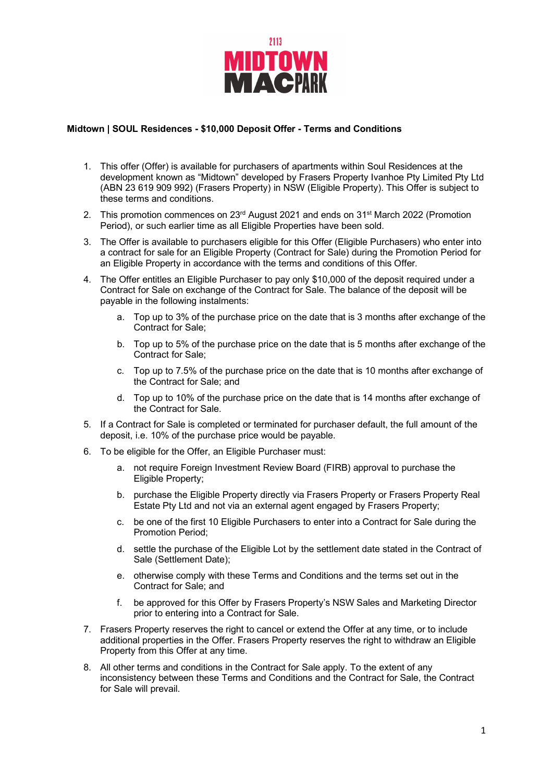

## **Midtown | SOUL Residences - \$10,000 Deposit Offer - Terms and Conditions**

- 1. This offer (Offer) is available for purchasers of apartments within Soul Residences at the development known as "Midtown" developed by Frasers Property Ivanhoe Pty Limited Pty Ltd (ABN 23 619 909 992) (Frasers Property) in NSW (Eligible Property). This Offer is subject to these terms and conditions.
- 2. This promotion commences on 23<sup>rd</sup> August 2021 and ends on 31<sup>st</sup> March 2022 (Promotion Period), or such earlier time as all Eligible Properties have been sold.
- 3. The Offer is available to purchasers eligible for this Offer (Eligible Purchasers) who enter into a contract for sale for an Eligible Property (Contract for Sale) during the Promotion Period for an Eligible Property in accordance with the terms and conditions of this Offer.
- 4. The Offer entitles an Eligible Purchaser to pay only \$10,000 of the deposit required under a Contract for Sale on exchange of the Contract for Sale. The balance of the deposit will be payable in the following instalments:
	- a. Top up to 3% of the purchase price on the date that is 3 months after exchange of the Contract for Sale;
	- b. Top up to 5% of the purchase price on the date that is 5 months after exchange of the Contract for Sale;
	- c. Top up to 7.5% of the purchase price on the date that is 10 months after exchange of the Contract for Sale; and
	- d. Top up to 10% of the purchase price on the date that is 14 months after exchange of the Contract for Sale.
- 5. If a Contract for Sale is completed or terminated for purchaser default, the full amount of the deposit, i.e. 10% of the purchase price would be payable.
- 6. To be eligible for the Offer, an Eligible Purchaser must:
	- a. not require Foreign Investment Review Board (FIRB) approval to purchase the Eligible Property;
	- b. purchase the Eligible Property directly via Frasers Property or Frasers Property Real Estate Pty Ltd and not via an external agent engaged by Frasers Property;
	- c. be one of the first 10 Eligible Purchasers to enter into a Contract for Sale during the Promotion Period;
	- d. settle the purchase of the Eligible Lot by the settlement date stated in the Contract of Sale (Settlement Date);
	- e. otherwise comply with these Terms and Conditions and the terms set out in the Contract for Sale; and
	- f. be approved for this Offer by Frasers Property's NSW Sales and Marketing Director prior to entering into a Contract for Sale.
- 7. Frasers Property reserves the right to cancel or extend the Offer at any time, or to include additional properties in the Offer. Frasers Property reserves the right to withdraw an Eligible Property from this Offer at any time.
- 8. All other terms and conditions in the Contract for Sale apply. To the extent of any inconsistency between these Terms and Conditions and the Contract for Sale, the Contract for Sale will prevail.